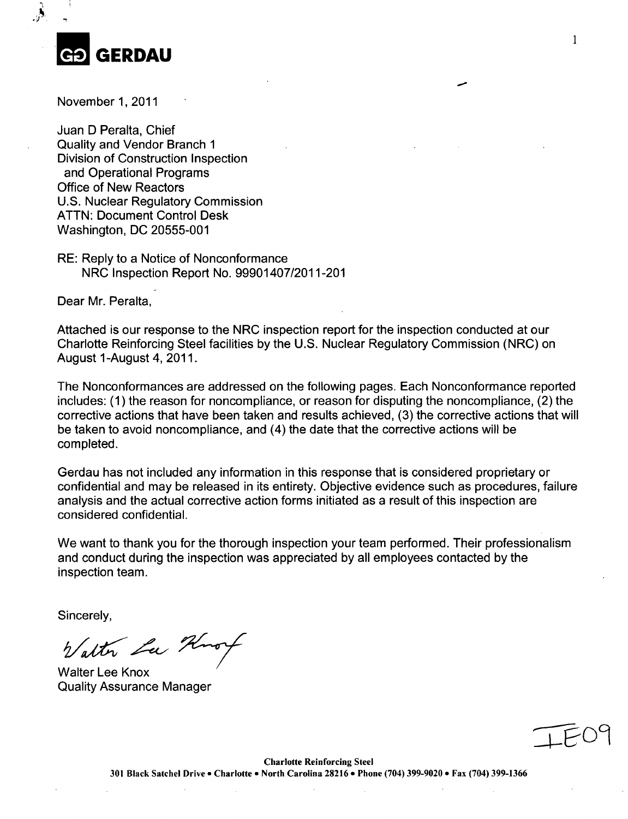

بار<br>م

November 1, 2011

Juan D Peralta, Chief Quality and Vendor Branch **1** Division of Construction Inspection and Operational Programs Office of New Reactors U.S. Nuclear Regulatory Commission ATTN: Document Control Desk Washington, DC 20555-001

RE: Reply to a Notice of Nonconformance NRC Inspection Report No. 99901407/2011-201

Dear Mr. Peralta,

Attached is our response to the NRC inspection report for the inspection conducted at our Charlotte Reinforcing Steel facilities by the U.S. Nuclear Regulatory Commission (NRC) on August 1-August 4, 2011.

 $\mathbf{1}$ 

The Nonconformances are addressed on the following pages. Each Nonconformance reported includes: (1) the reason for noncompliance, or reason for disputing the noncompliance, (2) the corrective actions that have been taken and results achieved, (3) the corrective actions that will be taken to avoid noncompliance, and (4) the date that the corrective actions will be completed.

Gerdau has not included any information in this response that is considered proprietary or confidential and may be released in its entirety. Objective evidence such as procedures, failure analysis and the actual corrective action forms initiated as a result of this inspection are considered confidential.

We want to thank you for the thorough inspection your team performed. Their professionalism and conduct during the inspection was appreciated by all employees contacted by the inspection team.

Sincerely,

Valter La Knot

Walter Lee Knox Quality Assurance Manager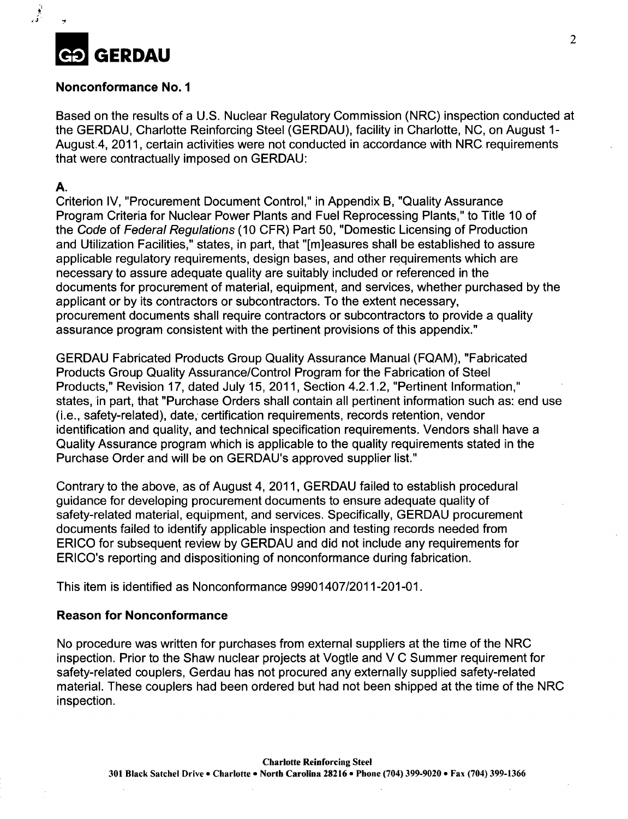

## Nonconformance No. **1**

Based on the results of a U.S. Nuclear Regulatory Commission (NRC) inspection conducted at the GERDAU, Charlotte Reinforcing Steel (GERDAU), facility in Charlotte, NC, on August 1- August.4, 2011, certain activities were not conducted in accordance with NRC. requirements that were contractually imposed on GERDAU:

A.

 $\frac{\hat{\vec{y}}^{\text{I}}}{\hat{\vec{x}}^{\text{I}}}$ 

Criterion IV, "Procurement Document Control," in Appendix B, "Quality Assurance Program Criteria for Nuclear Power Plants and Fuel Reprocessing Plants," to Title 10 of the Code of *Federal Regulations* (10 CFR) Part 50, "Domestic Licensing of Production and Utilization Facilities," states, in part, that "[m]easures shall be established to assure applicable regulatory requirements, design bases, and other requirements which are necessary to assure adequate quality are suitably included or referenced in the documents for procurement of material, equipment, and services, whether purchased by the applicant or by its contractors or subcontractors. To the extent necessary, procurement documents shall require contractors or subcontractors to provide a quality assurance program consistent with the pertinent provisions of this appendix."

GERDAU Fabricated Products Group Quality Assurance Manual (FQAM), "Fabricated Products Group Quality Assurance/Control Program for the Fabrication of Steel Products," Revision 17, dated July 15, 2011, Section 4.2.1.2, "Pertinent Information," states, in part, that "Purchase Orders shall contain all pertinent information such as: end use (i.e., safety-related), date, certification requirements, records retention, vendor identification and quality, and technical specification requirements. Vendors shall have a Quality Assurance program which is applicable to the quality requirements stated in the Purchase Order and will be on GERDAU's approved supplier list."

Contrary to the above, as of August 4, 2011, GERDAU failed to establish procedural guidance for developing procurement documents to ensure adequate quality of safety-related material, equipment, and services. Specifically, GERDAU procurement documents failed to identify applicable inspection and testing records needed from ERICO for subsequent review by GERDAU and did not include any requirements for ERICO's reporting and dispositioning of nonconformance during fabrication.

This item is identified as Nonconformance 99901407/2011-201-01.

## Reason for Nonconformance

No procedure was written for purchases from external suppliers at the time of the NRC inspection. Prior to the Shaw nuclear projects at Vogtle and V C Summer requirement for safety-related couplers, Gerdau has not procured any externally supplied safety-related material. These couplers had been ordered but had not been shipped at the time of the NRC inspection.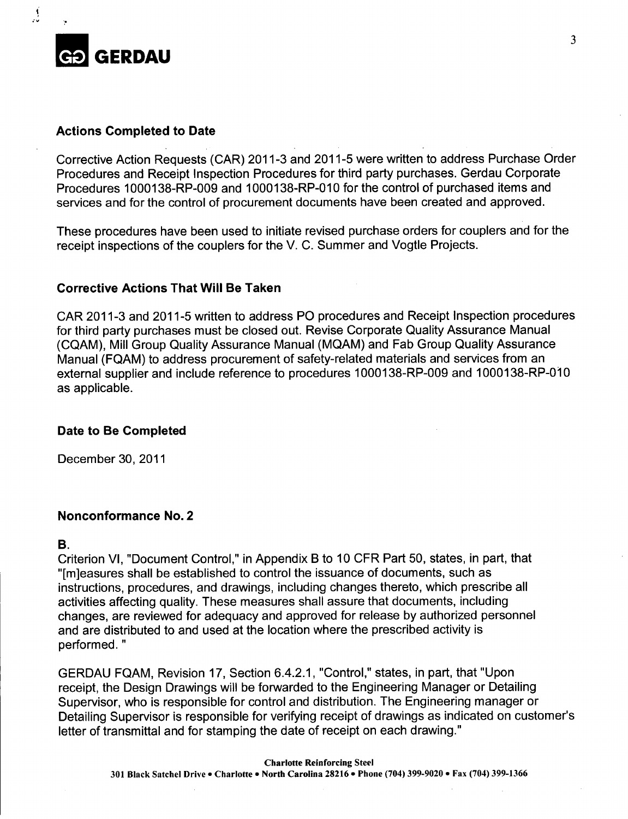

 $\frac{1}{2}$ 

## Actions Completed to Date

Corrective Action Requests (CAR) 2011-3 and 2011-5 were written to address Purchase Order Procedures and Receipt Inspection Procedures for third party purchases. Gerdau Corporate Procedures 1000138-RP-009 and 1000138-RP-010 for the control of purchased items and services and for the control of procurement documents have been created and approved.

These procedures have been used to initiate revised purchase orders for couplers and for the receipt inspections of the couplers for the V. C. Summer and Vogtle Projects.

## Corrective Actions That Will Be Taken

CAR 2011-3 and 2011-5 written to address PO procedures and Receipt Inspection procedures for third party purchases must be closed out. Revise Corporate Quality Assurance Manual (CQAM), Mill Group Quality Assurance Manual (MQAM) and Fab Group Quality Assurance Manual (FQAM) to address procurement of safety-related materials and services from an external supplier and include reference to procedures 1000138-RP-009 and 1000138-RP-010 as applicable.

### Date to Be Completed

December 30, 2011

## Nonconformance No. 2

#### **B.**

Criterion VI, "Document Control," in Appendix B to 10 CFR Part 50, states, in part, that "[m]easures shall be established to control the issuance of documents, such as instructions, procedures, and drawings, including changes thereto, which prescribe all activities affecting quality. These measures shall assure that documents, including changes, are reviewed for adequacy and approved for release by authorized personnel and are distributed to and used at the location where the prescribed activity is performed. **"**

GERDAU FQAM, Revision 17, Section 6.4.2.1, "Control," states, in part, that "Upon receipt, the Design Drawings will be forwarded to the Engineering Manager or Detailing Supervisor, who is responsible for control and distribution. The Engineering manager or Detailing Supervisor is responsible for verifying receipt of drawings as indicated on customer's letter of transmittal and for stamping the date of receipt on each drawing."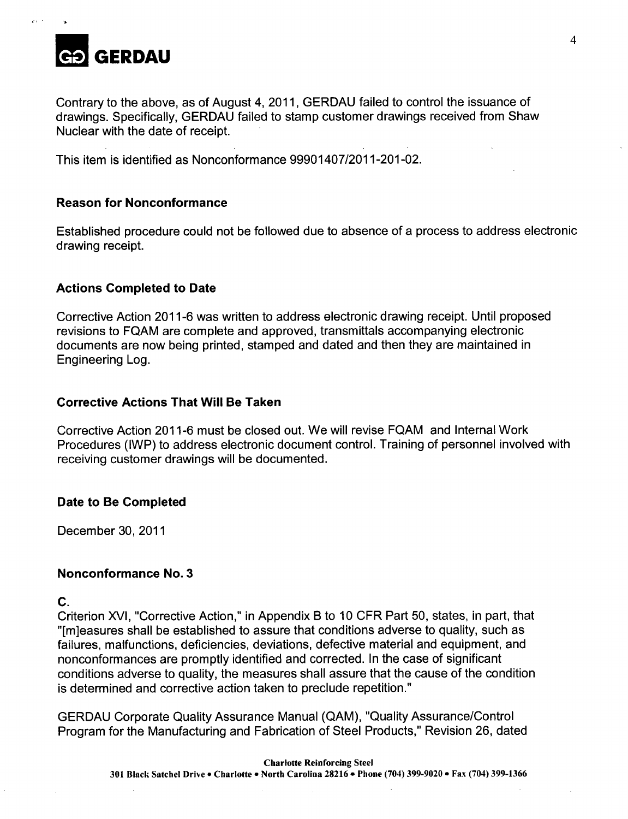

Contrary to the above, as of August 4, 2011, GERDAU failed to control the issuance of drawings. Specifically, GERDAU failed to stamp customer drawings received from Shaw Nuclear with the date of receipt.

This item is identified as Nonconformance 99901407/2011-201-02.

## Reason for Nonconformance

Established procedure could not be followed due to absence of a process to address electronic drawing receipt.

## Actions Completed to Date

Corrective Action 2011-6 was written to address electronic drawing receipt. Until proposed revisions to FQAM are complete and approved, transmittals accompanying electronic documents are now being printed, stamped and dated and then they are maintained in Engineering Log.

## Corrective Actions That Will Be Taken

Corrective Action 2011-6 must be closed out. We will revise FQAM and Internal Work Procedures (IWP) to address electronic document control. Training of personnel involved with receiving customer drawings will be documented.

### Date to Be Completed

December 30, 2011

### Nonconformance No. **3**

**C.**

Criterion XVI, "Corrective Action," in Appendix B to 10 CFR Part 50, states, in part, that "[m]easures shall be established to assure that conditions adverse to quality, such as failures, malfunctions, deficiencies, deviations, defective material and equipment, and nonconformances are promptly identified and corrected. In the case of significant conditions adverse to quality, the measures shall assure that the cause of the condition is determined and corrective action taken to preclude repetition."

GERDAU Corporate Quality Assurance Manual (QAM), "Quality Assurance/Control Program for the Manufacturing and Fabrication of Steel Products," Revision 26, dated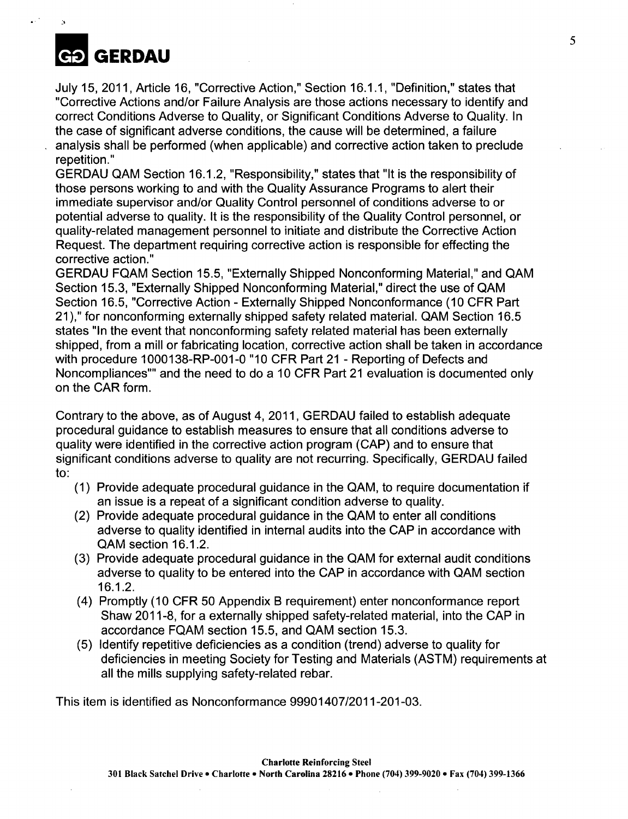

 $\mathcal{D}$ 

July 15, 2011, Article 16, "Corrective Action," Section 16.1.1, "Definition," states that "Corrective Actions and/or Failure Analysis are those actions necessary to identify and correct Conditions Adverse to Quality, or Significant Conditions Adverse to Quality. In the case of significant adverse conditions, the cause will be determined, a failure analysis shall be performed (when applicable.) and corrective action taken to preclude repetition."

GERDAU QAM Section 16.1.2, "Responsibility," states that "It is the responsibility of those persons working to and with the Quality Assurance Programs to alert their immediate supervisor and/or Quality Control personnel of conditions adverse to or potential adverse to quality. It is the responsibility of the Quality Control personnel, or quality-related management personnel to initiate and distribute the Corrective Action Request. The department requiring corrective action is responsible for effecting the corrective action."

GERDAU FQAM Section 15.5, "Externally Shipped Nonconforming Material," and QAM Section 15.3, "Externally Shipped Nonconforming Material," direct the use of QAM Section 16.5, "Corrective Action - Externally Shipped Nonconformance (10 CFR Part 21)," for nonconforming externally shipped safety related material. QAM Section 16.5 states "In the event that nonconforming safety related material has been externally shipped, from a mill or fabricating location, corrective action shall be taken in accordance with procedure 1000138-RP-001-0 "10 CFR Part 21 - Reporting of Defects and Noncompliances"" and the need to do a 10 CFR Part 21 evaluation is documented only on the CAR form.

Contrary to the above, as of August 4, 2011, GERDAU failed to establish adequate procedural guidance to establish measures to ensure that all conditions adverse to quality were identified in the corrective action program (CAP) and to ensure that significant conditions adverse to quality are not recurring. Specifically, GERDAU failed to:

- (1) Provide adequate procedural guidance in the QAM, to require documentation if an issue is a repeat of a significant condition adverse to quality.
- (2) Provide adequate procedural guidance in the QAM to enter all conditions adverse to quality identified in internal audits into the CAP in accordance with QAM section 16.1.2.
- (3) Provide adequate procedural guidance in the QAM for external audit conditions adverse to quality to be entered into the CAP in accordance with QAM section 16.1.2.
- (4) Promptly (10 CFR 50 Appendix B requirement) enter nonconformance report Shaw 2011-8, for a externally shipped safety-related material, into the CAP in accordance FQAM section 15.5, and QAM section 15.3.
- (5) Identify repetitive deficiencies as a condition (trend) adverse to quality for deficiencies in meeting Society for Testing and Materials (ASTM) requirements at all the mills supplying safety-related rebar.

This item is identified as Nonconformance 99901407/2011-201-03.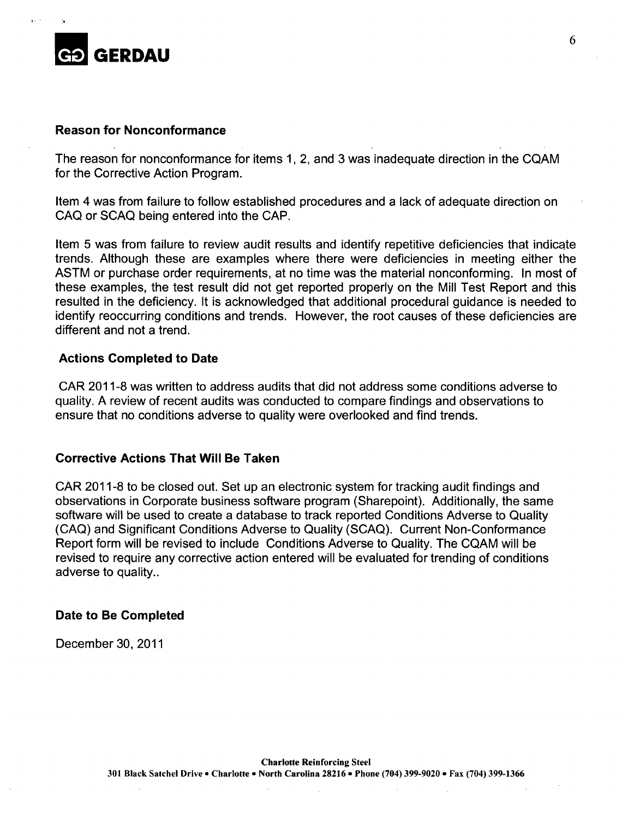

#### Reason for Nonconformance

The reason for nonconformance for items 1, 2, and 3 was inadequate direction in the CQAM for the Corrective Action Program.

Item 4 was from failure to follow established procedures and a lack of adequate direction on CAQ or SCAQ being entered into the CAP.

Item 5 was from failure to review audit results and identify repetitive deficiencies that indicate trends. Although these are examples where there were deficiencies in meeting either the ASTM or purchase order requirements, at no time was the material nonconforming. In most of these examples, the test result did not get reported properly on the Mill Test Report and this resulted in the deficiency. It is acknowledged that additional procedural guidance is needed to identify reoccurring conditions and trends. However, the root causes of these deficiencies are different and not a trend.

### Actions Completed to Date

CAR 2011-8 was written to address audits that did not address some conditions adverse to quality. A review of recent audits was conducted to compare findings and observations to ensure that no conditions adverse to quality were overlooked and find trends.

### Corrective Actions That Will Be Taken

CAR 2011-8 to be closed out. Set up an electronic system for tracking audit findings and observations in Corporate business software program (Sharepoint). Additionally, the same software will be used to create a database to track reported Conditions Adverse to Quality (CAQ) and Significant Conditions Adverse to Quality (SCAQ). Current Non-Conformance Report form will be revised to include Conditions Adverse to Quality. The CQAM will be revised to require any corrective action entered will be evaluated for trending of conditions adverse to quality..

### Date to Be Completed

December 30, 2011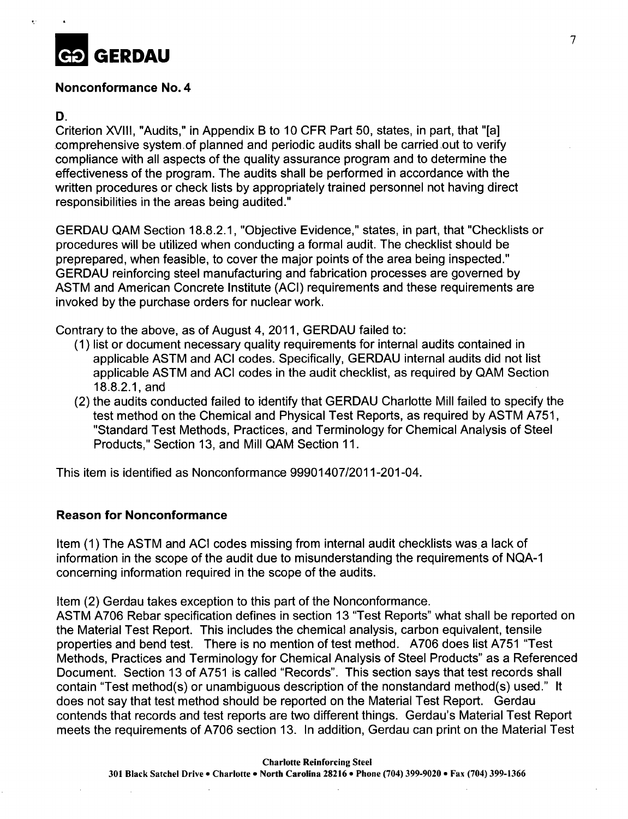

## Nonconformance No. 4

## **D.**

Criterion XVIII, "Audits," in Appendix B to 10 CFR Part 50, states, in part, that "[a] comprehensive system.of planned and periodic audits shall be carried out to verify compliance with all aspects of the quality assurance program and to determine the effectiveness of the program. The audits shall be performed in accordance with the written procedures or check lists by appropriately trained personnel not having direct responsibilities in the areas being audited."

GERDAU QAM Section 18.8.2.1, "Objective Evidence," states, in part, that "Checklists or procedures will be utilized when conducting a formal audit. The checklist should be preprepared, when feasible, to cover the major points of the area being inspected." GERDAU reinforcing steel manufacturing and fabrication processes are governed by ASTM and American Concrete Institute (ACI) requirements and these requirements are invoked by the purchase orders for nuclear work.

Contrary to the above, as of August 4, 2011, GERDAU failed to:

- (1) list or document necessary quality requirements for internal audits contained in applicable ASTM and ACI codes. Specifically, GERDAU internal audits did not list applicable ASTM and ACI codes in the audit checklist, as required by QAM Section 18.8.2.1, and
- (2) the audits conducted failed to identify that GERDAU Charlotte Mill failed to specify the test method on the Chemical and Physical Test Reports, as required by ASTM A751, "Standard Test Methods, Practices, and Terminology for Chemical Analysis of Steel Products," Section 13, and Mill QAM Section 11.

This item is identified as Nonconformance 99901407/2011-201-04.

## Reason for Nonconformance

Item (1) The ASTM and ACI codes missing from internal audit checklists was a lack of information in the scope of the audit due to misunderstanding the requirements of NQA-1 concerning information required in the scope of the audits.

Item (2) Gerdau takes exception to this part of the Nonconformance.

ASTM A706 Rebar specification defines in section 13 "Test Reports" what shall be reported on the Material Test Report. This includes the chemical analysis, carbon equivalent, tensile properties and bend test. There is no mention of test method. A706 does list A751 "Test Methods, Practices and Terminology for Chemical Analysis of Steel Products" as a Referenced Document. Section 13 of A751 is called "Records". This section says that test records shall contain "Test method(s) or unambiguous description of the nonstandard method(s) used." It does not say that test method should be reported on the Material Test Report. Gerdau contends that records and test reports are two different things. Gerdau's Material Test Report meets the requirements of A706 section 13. In addition, Gerdau can print on the Material Test